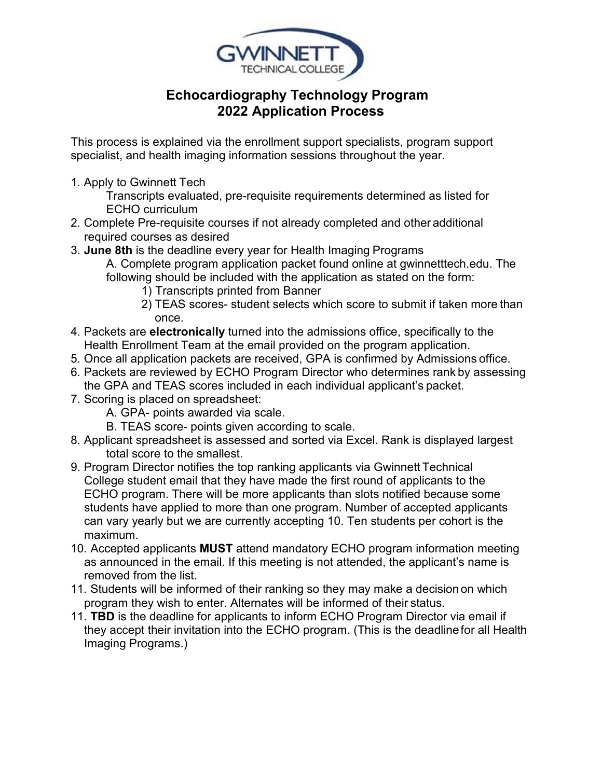

## **Echocardiography Technology Program 2022 Application Process**

 This process is explained via the enrollment support specialists, program support specialist, and health imaging information sessions throughout the year.

1. Apply to Gwinnett Tech

 Transcripts evaluated, pre-requisite requirements determined as listed for ECHO curriculum

- required courses as desired 2. Complete Pre-requisite courses if not already completed and other additional
- 3. **June 8th** is the deadline every year for Health Imaging Programs
	- A. Complete program application packet found online at [gwinnetttech.edu.](https://gwinnetttech.edu/) The following should be included with the application as stated on the form:
		- 1) Transcripts printed from Banner
		- 2) TEAS scores- student selects which score to submit if taken more than once.
- Health Enrollment Team at the email provided on the program application. 4. Packets are **electronically** turned into the admissions office, specifically to the
- 5. Once all application packets are received, GPA is confirmed by Admissions office.
- 6. Packets are reviewed by ECHO Program Director who determines rank by assessing the GPA and TEAS scores included in each individual applicant's packet.
- 7. Scoring is placed on spreadsheet:
	- A. GPA- points awarded via scale.
	- B. TEAS score- points given according to scale.
- total score to the smallest. 8. Applicant spreadsheet is assessed and sorted via Excel. Rank is displayed largest
- College student email that they have made the first round of applicants to the can vary yearly but we are currently accepting 10. Ten students per cohort is the 9. Program Director notifies the top ranking applicants via Gwinnett Technical ECHO program. There will be more applicants than slots notified because some students have applied to more than one program. Number of accepted applicants maximum.
- as announced in the email. If this meeting is not attended, the applicant's name is removed from the list. 10. Accepted applicants **MUST** attend mandatory ECHO program information meeting
- program they wish to enter. Alternates will be informed of their status. 11. Students will be informed of their ranking so they may make a decision on which
- Imaging Programs.) 11. **TBD** is the deadline for applicants to inform ECHO Program Director via email if they accept their invitation into the ECHO program. (This is the deadline for all Health